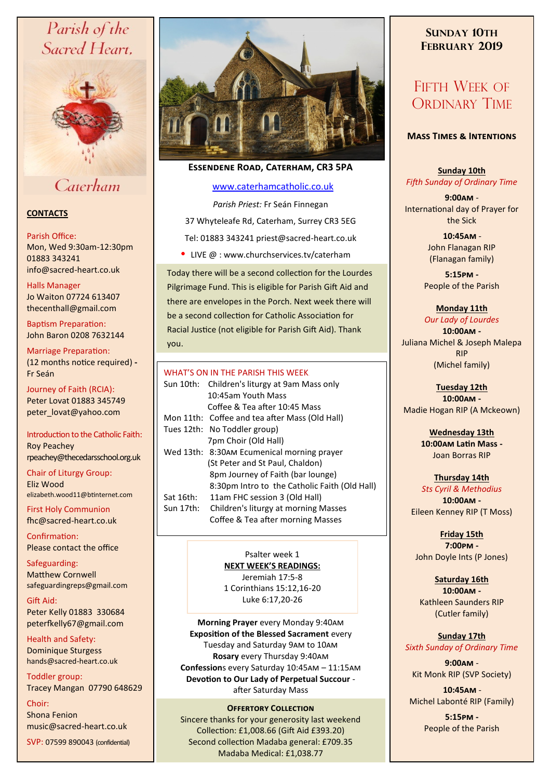# Parish of the Sacred Heart,



# Caterham

# **CONTACTS**

#### Parish Office:

Mon, Wed 9:30am-12:30pm 01883 343241 info@sacred-heart.co.uk .

## Halls Manager

Jo Waiton 07724 613407 thecenthall@gmail.com

Baptism Preparation: John Baron 0208 7632144

## Marriage Preparation: (12 months notice required) **-** Fr Seán

Journey of Faith (RCIA): Peter Lovat 01883 345749 peter\_lovat@yahoo.com

## Introduction to the Catholic Faith: Roy Peachey rpeachey@thecedarsschool.org.uk

Chair of Liturgy Group: Eliz Wood elizabeth.wood11@btinternet.com

First Holy Communion fhc@sacred-heart.co.uk

Confirmation: Please contact the office

Safeguarding: Matthew Cornwell safeguardingreps@gmail.com

Gift Aid: Peter Kelly 01883 330684 peterfkelly67@gmail.com

Health and Safety: Dominique Sturgess hands@sacred-heart.co.uk

Toddler group: Tracey Mangan 07790 648629

Choir: Shona Fenion music@sacred-heart.co.uk

SVP: 07599 890043 (confidential)



# **Essendene Road, Caterham, CR3 5PA**

## [www.caterhamcatholic.co.uk](http://Www.caterhamcatholic.co.uk)

*Parish Priest:* Fr Seán Finnegan 37 Whyteleafe Rd, Caterham, Surrey CR3 5EG Tel: 01883 343241 priest@sacred-heart.co.uk

• LIVE  $@:www.churchservices.tv/caterham$ 

Today there will be a second collection for the Lourdes Pilgrimage Fund. This is eligible for Parish Gift Aid and there are envelopes in the Porch. Next week there will be a second collection for Catholic Association for Racial Justice (not eligible for Parish Gift Aid). Thank you.

## WHAT'S ON IN THE PARISH THIS WEEK.

|           | Sun 10th: Children's liturgy at 9am Mass only  |
|-----------|------------------------------------------------|
|           | 10:45am Youth Mass                             |
|           | Coffee & Tea after 10:45 Mass                  |
|           | Mon 11th: Coffee and tea after Mass (Old Hall) |
|           | Tues 12th: No Toddler group)                   |
|           | 7pm Choir (Old Hall)                           |
|           | Wed 13th: 8:30AM Ecumenical morning prayer     |
|           | (St Peter and St Paul, Chaldon)                |
|           | 8pm Journey of Faith (bar lounge)              |
|           | 8:30pm Intro to the Catholic Faith (Old Hall)  |
| Sat 16th: | 11am FHC session 3 (Old Hall)                  |
| Sun 17th: | Children's liturgy at morning Masses           |
|           | Coffee & Tea after morning Masses              |

Psalter week 1 **NEXT WEEK'S READINGS:**  Jeremiah 17:5-8 1 Corinthians 15:12,16-20 Luke 6:17,20-26

**Morning Prayer** every Monday 9:40am **Exposition of the Blessed Sacrament** every Tuesday and Saturday 9am to 10am **Rosary** every Thursday 9:40am **Confession**s every Saturday 10:45am – 11:15am **Devotion to Our Lady of Perpetual Succour**  after Saturday Mass

## **OFFERTORY COLLECTION**

Sincere thanks for your generosity last weekend Collection: £1,008.66 (Gift Aid £393.20) Second collection Madaba general: £709.35 Madaba Medical: £1,038.77

# **SUNDAY 10TH FEBRUARY 2019**

# FIFTH WEEK OF ORDINARY TIME

## **Mass Times & Intentions**

**Sunday 10th** *Fifth Sunday of Ordinary Time*

**9:00am** - International day of Prayer for the Sick

> .**10:45am** - John Flanagan RIP (Flanagan family)

**5:15pm -** People of the Parish

## **Monday 11th**

*Our Lady of Lourdes* **10:00am -**  Juliana Michel & Joseph Malepa RIP (Michel family)

**Tuesday 12th 10:00am -** Madie Hogan RIP (A Mckeown)

> **Wednesday 13th 10:00am Latin Mass -** Joan Borras RIP

**Thursday 14th**  *Sts Cyril & Methodius* **10:00am -** Eileen Kenney RIP (T Moss)

**Friday 15th 7:00pm -** John Doyle Ints (P Jones)

## **Saturday 16th**

**10:00am -**  Kathleen Saunders RIP (Cutler family)

**Sunday 17th** *Sixth Sunday of Ordinary Time*

**9:00am** - Kit Monk RIP (SVP Society)

.**10:45am** - Michel Labonté RIP (Family)

> **5:15pm -** People of the Parish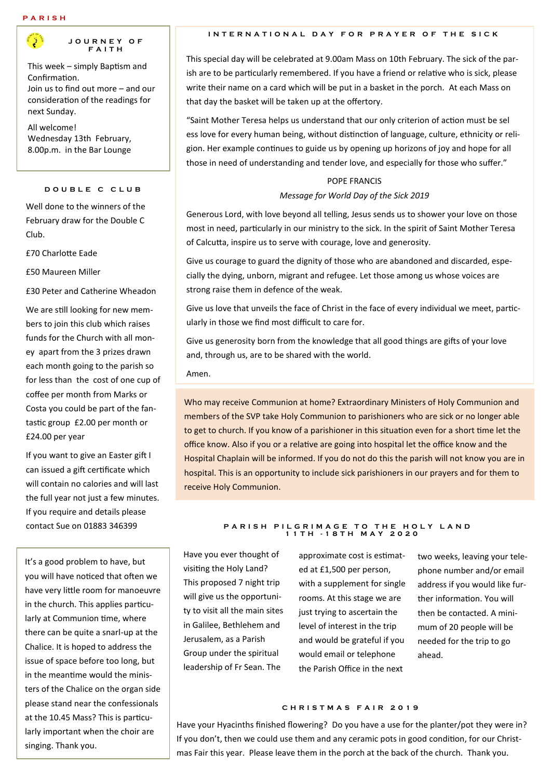#### **P A R I S H**



#### **J O U R N E Y O F F A I T H**

This week – simply Baptism and Confirmation. Join us to find out more – and our consideration of the readings for next Sunday.

All welcome! Wednesday 13th February, 8.00p.m. in the Bar Lounge

#### **D O U B L E C C L U B**

Well done to the winners of the February draw for the Double C Club.

£70 Charlotte Eade

£50 Maureen Miller

£30 Peter and Catherine Wheadon

We are still looking for new members to join this club which raises funds for the Church with all money apart from the 3 prizes drawn each month going to the parish so for less than the cost of one cup of coffee per month from Marks or Costa you could be part of the fantastic group £2.00 per month or £24.00 per year

If you want to give an Easter gift I can issued a gift certificate which will contain no calories and will last the full year not just a few minutes. If you require and details please contact Sue on 01883 346399

It's a good problem to have, but you will have noticed that often we have very little room for manoeuvre in the church. This applies particularly at Communion time, where there can be quite a snarl-up at the Chalice. It is hoped to address the issue of space before too long, but in the meantime would the ministers of the Chalice on the organ side please stand near the confessionals at the 10.45 Mass? This is particularly important when the choir are singing. Thank you.

#### **INTERNATIONAL DAY FOR PRAYER OF THE SICK**

This special day will be celebrated at 9.00am Mass on 10th February. The sick of the parish are to be particularly remembered. If you have a friend or relative who is sick, please write their name on a card which will be put in a basket in the porch. At each Mass on that day the basket will be taken up at the offertory.

"Saint Mother Teresa helps us understand that our only criterion of action must be sel ess love for every human being, without distinction of language, culture, ethnicity or religion. Her example continues to guide us by opening up horizons of joy and hope for all those in need of understanding and tender love, and especially for those who suffer."

# POPE FRANCIS *Message for World Day of the Sick 2019*

Generous Lord, with love beyond all telling, Jesus sends us to shower your love on those most in need, particularly in our ministry to the sick. In the spirit of Saint Mother Teresa of Calcutta, inspire us to serve with courage, love and generosity.

Give us courage to guard the dignity of those who are abandoned and discarded, especially the dying, unborn, migrant and refugee. Let those among us whose voices are strong raise them in defence of the weak.

Give us love that unveils the face of Christ in the face of every individual we meet, particularly in those we find most difficult to care for.

Give us generosity born from the knowledge that all good things are gifts of your love and, through us, are to be shared with the world.

Amen.

Who may receive Communion at home? Extraordinary Ministers of Holy Communion and members of the SVP take Holy Communion to parishioners who are sick or no longer able to get to church. If you know of a parishioner in this situation even for a short time let the office know. Also if you or a relative are going into hospital let the office know and the Hospital Chaplain will be informed. If you do not do this the parish will not know you are in hospital. This is an opportunity to include sick parishioners in our prayers and for them to receive Holy Communion.

#### **P A R I S H P I L G R I M A G E T O T H E H O L Y L A N D 1 1 T H - 1 8 T H M A Y 2 0 2 0**

Have you ever thought of visiting the Holy Land? This proposed 7 night trip will give us the opportunity to visit all the main sites in Galilee, Bethlehem and Jerusalem, as a Parish Group under the spiritual leadership of Fr Sean. The

approximate cost is estimated at £1,500 per person, with a supplement for single rooms. At this stage we are just trying to ascertain the level of interest in the trip and would be grateful if you would email or telephone the Parish Office in the next

two weeks, leaving your telephone number and/or email address if you would like further information. You will then be contacted. A minimum of 20 people will be needed for the trip to go ahead.

#### **C H R I S T M A S F A I R 2 0 1 9**

Have your Hyacinths finished flowering? Do you have a use for the planter/pot they were in? If you don't, then we could use them and any ceramic pots in good condition, for our Christmas Fair this year. Please leave them in the porch at the back of the church. Thank you.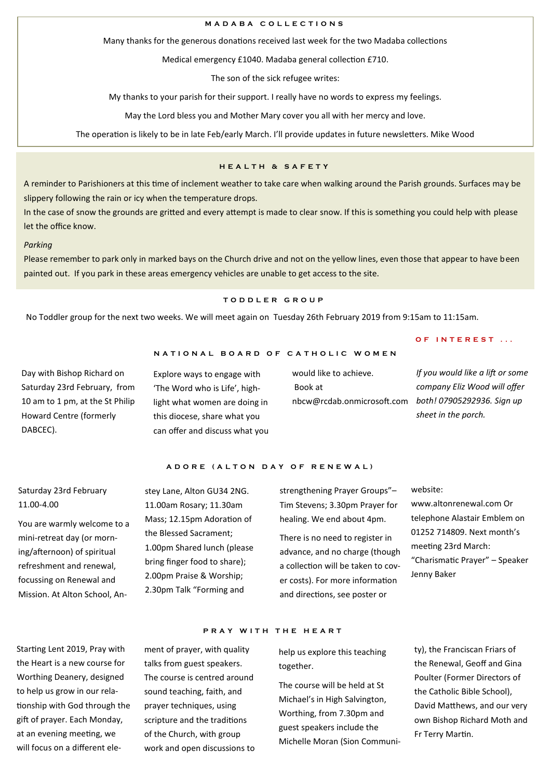#### **M A D A B A C O L L E C T I O N S**

Many thanks for the generous donations received last week for the two Madaba collections

Medical emergency £1040. Madaba general collection £710.

The son of the sick refugee writes:

My thanks to your parish for their support. I really have no words to express my feelings.

May the Lord bless you and Mother Mary cover you all with her mercy and love.

The operation is likely to be in late Feb/early March. I'll provide updates in future newsletters. Mike Wood

### **H E A L T H & S A F E T Y**

A reminder to Parishioners at this time of inclement weather to take care when walking around the Parish grounds. Surfaces may be slippery following the rain or icy when the temperature drops.

In the case of snow the grounds are gritted and every attempt is made to clear snow. If this is something you could help with please let the office know.

#### *Parking*

Please remember to park only in marked bays on the Church drive and not on the yellow lines, even those that appear to have been painted out. If you park in these areas emergency vehicles are unable to get access to the site.

### **T O D D L E R G R O U P**

**N A T I O N A L B O A R D O F C A T H O L I C W O M E N**

No Toddler group for the next two weeks. We will meet again on Tuesday 26th February 2019 from 9:15am to 11:15am.

Day with Bishop Richard on Saturday 23rd February, from 10 am to 1 pm, at the St Philip Howard Centre (formerly DABCEC).

Explore ways to engage with 'The Word who is Life', highlight what women are doing in this diocese, share what you can offer and discuss what you would like to achieve. Book at nbcw@rcdab.onmicrosoft.com *both! 07905292936. Sign up* 

#### **O F I N T E R E S T . . .**

*If you would like a lift or some company Eliz Wood will offer sheet in the porch.*

#### **A D O R E ( A L T O N D A Y O F R E N E W A L )**

# Saturday 23rd February 11.00-4.00

You are warmly welcome to a mini-retreat day (or morning/afternoon) of spiritual refreshment and renewal, focussing on Renewal and Mission. At Alton School, An-

Starting Lent 2019, Pray with the Heart is a new course for Worthing Deanery, designed to help us grow in our relationship with God through the gift of prayer. Each Monday, at an evening meeting, we will focus on a different elestey Lane, Alton GU34 2NG. 11.00am Rosary; 11.30am Mass; 12.15pm Adoration of the Blessed Sacrament; 1.00pm Shared lunch (please bring finger food to share); 2.00pm Praise & Worship; 2.30pm Talk "Forming and

ment of prayer, with quality talks from guest speakers. The course is centred around sound teaching, faith, and prayer techniques, using scripture and the traditions of the Church, with group work and open discussions to strengthening Prayer Groups"– Tim Stevens; 3.30pm Prayer for healing. We end about 4pm.

There is no need to register in advance, and no charge (though a collection will be taken to cover costs). For more information and directions, see poster or

#### website:

www.altonrenewal.com Or telephone Alastair Emblem on 01252 714809. Next month's meeting 23rd March: "Charismatic Prayer" – Speaker Jenny Baker

#### **PRAY WITH THE HEART**

help us explore this teaching together.

The course will be held at St Michael's in High Salvington, Worthing, from 7.30pm and guest speakers include the Michelle Moran (Sion Community), the Franciscan Friars of the Renewal, Geoff and Gina Poulter (Former Directors of the Catholic Bible School), David Matthews, and our very own Bishop Richard Moth and Fr Terry Martin.